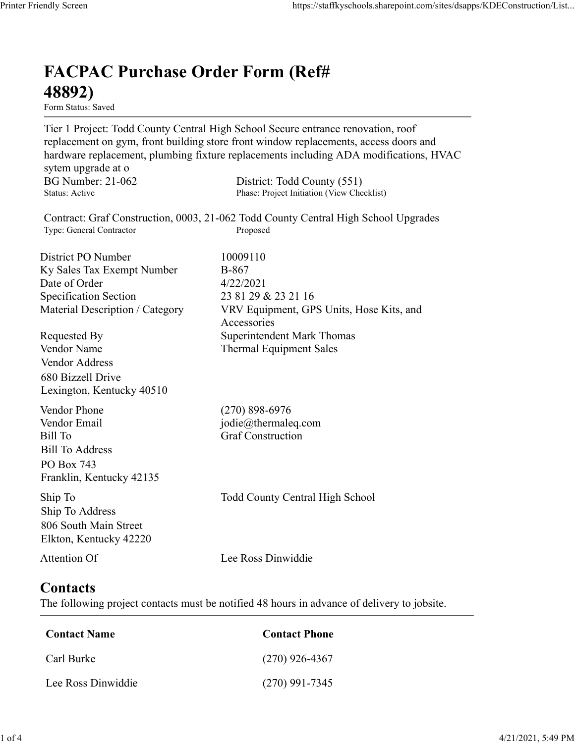## FACPAC Purchase Order Form (Ref# 48892)

Form Status: Saved

Tier 1 Project: Todd County Central High School Secure entrance renovation, roof replacement on gym, front building store front window replacements, access doors and hardware replacement, plumbing fixture replacements including ADA modifications, HVAC sytem upgrade at o https://staffkyschools.sharepoint.com/sites/dsapps/KDEConstructic<br> **FACPAC Purchase Order Form (Ref#**<br> **FECPAC Purchase Order Form (Ref#**<br>
Tier 1 Project: Todd County Central High School Secure entrance renovation, roof<br>
r https://staffkyschools.sharepoint.com/sites/dsapps/KDEConstructic<br> **FACPAC Purchase Order Form (Ref#**<br>
Form States: Swed<br>
Form States: Swed<br>
Tier 1 Project: Todd County Central High School Secure entrance renovation, roof<br> Contract: Graf Construction, 0003, 21-062 Todd County Central High School Upgrades https://staffkyschools.sharepoint.com/sites/dsarps/KDFConstructic<br> **FACPAC Purchase Order Form (Ref#**<br>
Form Status: Saved<br>
Form Status: Saved<br>
Form Status: Saved<br>
Terpleicet: Todd County Central High School Secure entrance **FACPAC Purchase Order Form (Ref#**<br> **48892)**<br> **Form Status:** Saved<br>
Tier 1 Project: Todd County Central High School Sceure entrance renovation, roof<br>
replacement on gym, front building store front window replacements, acc **FACPAC Purchase Order Form (Ref#**<br> **48892)**<br>
Form States Saved<br>
Form States Saved<br>
Terplexeric Todd County Central High School Secure entrance renovation, roof<br>
replacement on gym, front building store front window repla **FACPAC Purchase Order Form (Ref#** $\textbf{48892}$ **)**<br>
Form Status: Saved<br>
Tier 1 Project: Todd County Central High School Secure entrance renovation, roof<br>
replacement on gym, front building store front window replacements, ac **FACPAC Purchase Order Form (Ref#**<br> **48892)**<br>
Form Status: Saved<br>
Tier 1 Project: Todd County Central High School Secure entrance renovation, roof<br>
replacement on gym, front building store front window replacements, acces **FACPAC Purchase Order Form (Ref#**<br>  $\begin{array}{ll}\n\textbf{48892} \\
\textbf{500} \\
\text{Term 50008} \\
\text{Ter 1 Project: Todd County Central High School Secure entrance reproduction, roof replacement on gym, front building store front window replacements, access doors and replacement on gym, front building future replacements including  $\land \text{DA Mathematics}, \text{HVAC hardware replacement, planning fixture replacements including  $\land \text{DA}$  modifications, HVAC system upgrade at  $\text{BG Number}, 21-062$  \n \n \n \n \n \n \n \n \n \n \n \n \n \n \n$$ Accessories **From States:**<br> **From States:**<br> **From States:**<br> **From States:**<br> **From States:**<br> **From States:**<br> **Replacement on gym, from building store from twindow replacements, access doors and<br>
<b>Proparement, plumbing fixture replaceme** Form Status: Saved<br>
Ter 1 Project: Todd County Central High School Secure entrance renovation, roof<br>
Teplacement on gym, front building store front window replacements, access doors and<br>
hardware replacement, plumbing fixt Vendor Address 680 Bizzell Drive Lexington, Kentucky 40510 sytem upgrade at o<br>
BG Number: 21-062 District: Todd County (551)<br>
Status: Active Phase: Project Initiation (View Checklist)<br>
Status: Active Phone Phone Phone (Section 1903, 21-062 Todd County Central High School Upgrades<br> By Number: 21-062<br>
Burnet: Graf Construction, 0003, 21-062 Todd County Central High School Upgrades<br>
Statis: Active<br>
Contract: Graf Construction, 0003, 21-062 Todd County Central High School Upgrades<br>
Type: General Contrac Status: Active<br>
Contract: Graf Construction, 0003, 21-062 Todd County Central High School Upgrades<br>
Type: General Contextor<br>
Discreption For a three construction<br>
Ex Sales Tax Exempt Number<br>
Ex Sales Tax Exempt Number<br>
Spe Bill To Address PO Box 743 Franklin, Kentucky 42135 District PO Number<br>
District PO Number<br>
Exy Sales Tax Exempt Number<br>
Specification Section<br>
29.81.29<br>
Material Description / Category<br>
MRV Equipment, GPS Units, Hose Kits, and<br>
Requested By<br>
Vendor Name<br>
Vendor Name<br>
Vendo Ship To Address 806 South Main Street Elkton, Kentucky 42220 Requested By<br>
Accessories<br>
Vendor Name<br>
Vendor Address<br>
Vendor Address<br>
Superintendent Mark Thomas<br>
Sch Bizzell Drive<br>
Lexington, Kentucky 40510<br>
Vendor Phone<br>
(270) 898-6976<br>
Vendor Phone<br>
(270) 898-6976<br>
Vendor Phone<br>
(2 Example of Carl Burket<br>
Condor Phone<br>
Condor Email (270) 898-6976<br>
endor Email (30) die@thermaleq.com<br>
iill To Address<br>
Yo Box 743<br>
in To Address<br>
translin, Kentucky 42135<br>
the To Gost Main Street<br>
Contact Name<br>
Contact S<br> Conder Email<br>
iil To Address<br>
iil To Address<br>
CO Box 743<br>
CO Box 743<br>
In Fo Construction<br>
In Fo Construction<br>
In Fo Constanting School<br>
Map School<br>
Map School<br>
Map School<br>
Constant Mame<br>
Constant School<br>
Contact Server Con Sill To Address<br>
Co Box 743<br>
Tranklin, Kentucky 42135<br>
hip To Address<br>
hip To Todd County Central High School<br>
Michiel To Address<br>
libn To Address<br>
Likton, Kentucky 42220<br>
Likton, Kentucky 42220<br>
Lee Ross Dinwiddie<br> **Conta** 

## **Contacts**

The following project contacts must be notified 48 hours in advance of delivery to jobsite.

| <b>Contact Name</b> | <b>Contact Phone</b> |
|---------------------|----------------------|
| Carl Burke          | $(270)$ 926-4367     |
| Lee Ross Dinwiddie  | $(270)$ 991-7345     |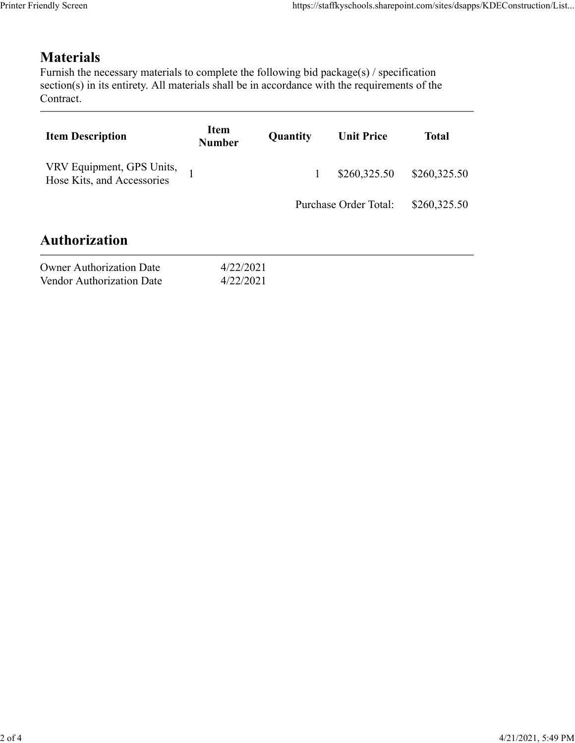## Materials

| endly Screen                                                                                                                                                                                                               |                        |          | https://staffkyschools.sharepoint.com/sites/dsapps/KDEConstruction/List |              |
|----------------------------------------------------------------------------------------------------------------------------------------------------------------------------------------------------------------------------|------------------------|----------|-------------------------------------------------------------------------|--------------|
| <b>Materials</b><br>Furnish the necessary materials to complete the following bid package(s) / specification<br>section(s) in its entirety. All materials shall be in accordance with the requirements of the<br>Contract. |                        |          |                                                                         |              |
| <b>Item Description</b>                                                                                                                                                                                                    | Item<br><b>Number</b>  | Quantity | <b>Unit Price</b>                                                       | <b>Total</b> |
| VRV Equipment, GPS Units,<br>Hose Kits, and Accessories                                                                                                                                                                    |                        | 1        | \$260,325.50                                                            | \$260,325.50 |
|                                                                                                                                                                                                                            |                        |          | Purchase Order Total:                                                   | \$260,325.50 |
| <b>Authorization</b>                                                                                                                                                                                                       |                        |          |                                                                         |              |
| <b>Owner Authorization Date</b><br>Vendor Authorization Date                                                                                                                                                               | 4/22/2021<br>4/22/2021 |          |                                                                         |              |
|                                                                                                                                                                                                                            |                        |          |                                                                         |              |

| <b>Owner Authorization Date</b>  | 4/22/2021 |
|----------------------------------|-----------|
| <b>Vendor Authorization Date</b> | 4/22/2021 |